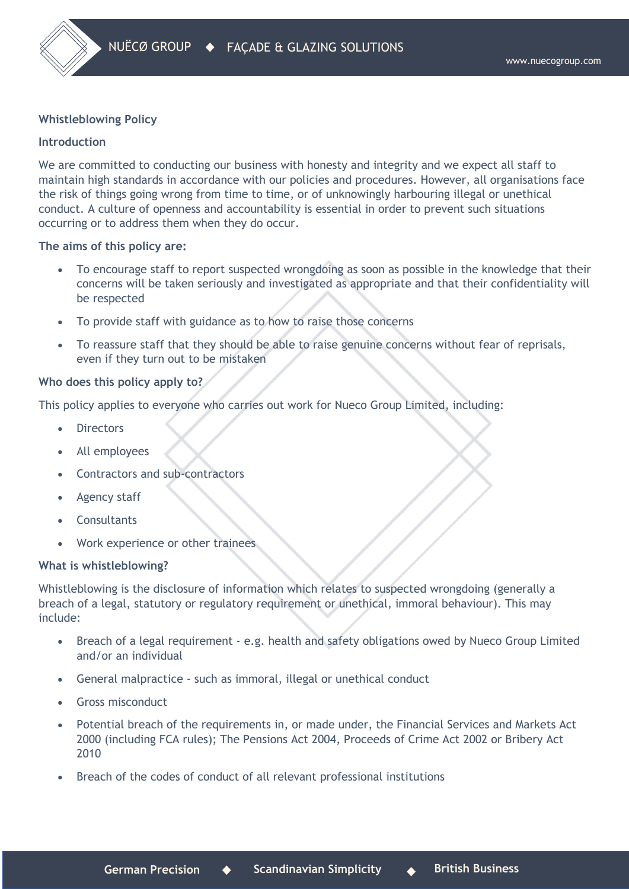# **Whistleblowing Policy**

# **Introduction**

We are committed to conducting our business with honesty and integrity and we expect all staff to maintain high standards in accordance with our policies and procedures. However, all organisations face the risk of things going wrong from time to time, or of unknowingly harbouring illegal or unethical conduct. A culture of openness and accountability is essential in order to prevent such situations occurring or to address them when they do occur.

## **The aims of this policy are:**

- To encourage staff to report suspected wrongdoing as soon as possible in the knowledge that their concerns will be taken seriously and investigated as appropriate and that their confidentiality will be respected
- To provide staff with guidance as to how to raise those concerns
- To reassure staff that they should be able to raise genuine concerns without fear of reprisals, even if they turn out to be mistaken

## **Who does this policy apply to?**

This policy applies to everyone who carries out work for Nueco Group Limited, including:

- **Directors**
- All employees
- Contractors and sub-contractors
- Agency staff
- **Consultants**
- Work experience or other trainees

## **What is whistleblowing?**

Whistleblowing is the disclosure of information which relates to suspected wrongdoing (generally a breach of a legal, statutory or regulatory requirement or unethical, immoral behaviour). This may include:

- Breach of a legal requirement e.g. health and safety obligations owed by Nueco Group Limited and/or an individual
- General malpractice such as immoral, illegal or unethical conduct
- Gross misconduct
- Potential breach of the requirements in, or made under, the Financial Services and Markets Act 2000 (including FCA rules); The Pensions Act 2004, Proceeds of Crime Act 2002 or Bribery Act 2010
- Breach of the codes of conduct of all relevant professional institutions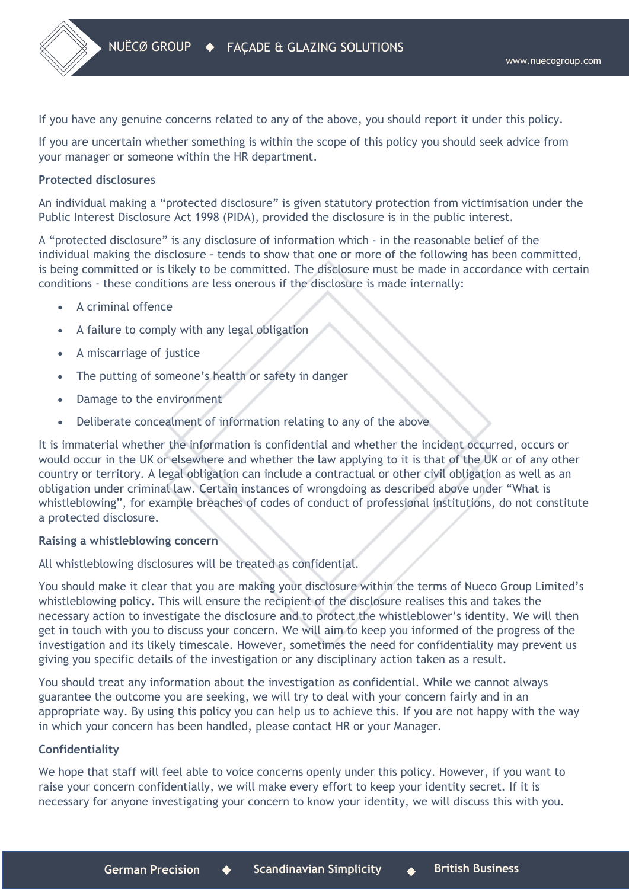If you have any genuine concerns related to any of the above, you should report it under this policy.

If you are uncertain whether something is within the scope of this policy you should seek advice from your manager or someone within the HR department.

# **Protected disclosures**

An individual making a "protected disclosure" is given statutory protection from victimisation under the Public Interest Disclosure Act 1998 (PIDA), provided the disclosure is in the public interest.

A "protected disclosure" is any disclosure of information which - in the reasonable belief of the individual making the disclosure - tends to show that one or more of the following has been committed, is being committed or is likely to be committed. The disclosure must be made in accordance with certain conditions - these conditions are less onerous if the disclosure is made internally:

- A criminal offence
- A failure to comply with any legal obligation
- A miscarriage of justice
- The putting of someone's health or safety in danger
- Damage to the environment
- Deliberate concealment of information relating to any of the above

It is immaterial whether the information is confidential and whether the incident occurred, occurs or would occur in the UK or elsewhere and whether the law applying to it is that of the UK or of any other country or territory. A legal obligation can include a contractual or other civil obligation as well as an obligation under criminal law. Certain instances of wrongdoing as described above under "What is whistleblowing", for example breaches of codes of conduct of professional institutions, do not constitute a protected disclosure.

## **Raising a whistleblowing concern**

All whistleblowing disclosures will be treated as confidential.

You should make it clear that you are making your disclosure within the terms of Nueco Group Limited's whistleblowing policy. This will ensure the recipient of the disclosure realises this and takes the necessary action to investigate the disclosure and to protect the whistleblower's identity. We will then get in touch with you to discuss your concern. We will aim to keep you informed of the progress of the investigation and its likely timescale. However, sometimes the need for confidentiality may prevent us giving you specific details of the investigation or any disciplinary action taken as a result.

You should treat any information about the investigation as confidential. While we cannot always guarantee the outcome you are seeking, we will try to deal with your concern fairly and in an appropriate way. By using this policy you can help us to achieve this. If you are not happy with the way in which your concern has been handled, please contact HR or your Manager.

## **Confidentiality**

We hope that staff will feel able to voice concerns openly under this policy. However, if you want to raise your concern confidentially, we will make every effort to keep your identity secret. If it is necessary for anyone investigating your concern to know your identity, we will discuss this with you.